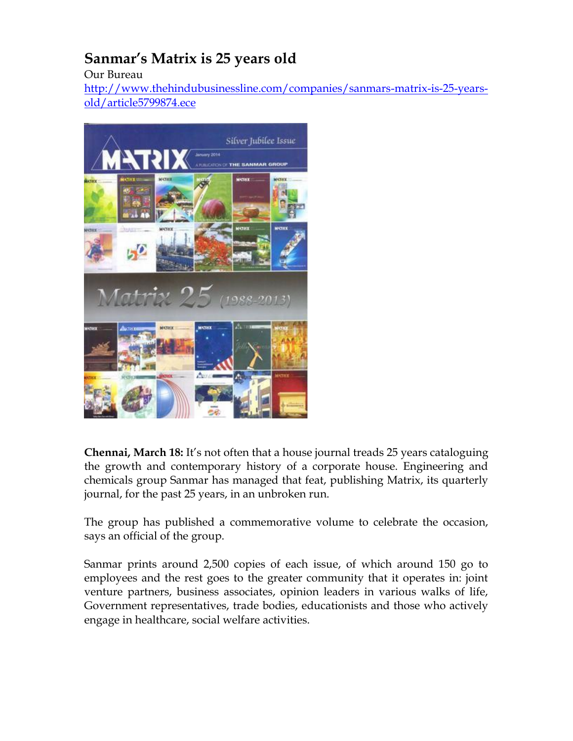## **Sanmar's Matrix is 25 years old**

Our Bureau

[http://www.thehindubusinessline.com/companies/sanmars-matrix-is-25-years](http://www.thehindubusinessline.com/companies/sanmars-matrix-is-25-years-old/article5799874.ece)[old/article5799874.ece](http://www.thehindubusinessline.com/companies/sanmars-matrix-is-25-years-old/article5799874.ece)



**Chennai, March 18:** It's not often that a house journal treads 25 years cataloguing the growth and contemporary history of a corporate house. Engineering and chemicals group Sanmar has managed that feat, publishing Matrix, its quarterly journal, for the past 25 years, in an unbroken run.

The group has published a commemorative volume to celebrate the occasion, says an official of the group.

Sanmar prints around 2,500 copies of each issue, of which around 150 go to employees and the rest goes to the greater community that it operates in: joint venture partners, business associates, opinion leaders in various walks of life, Government representatives, trade bodies, educationists and those who actively engage in healthcare, social welfare activities.